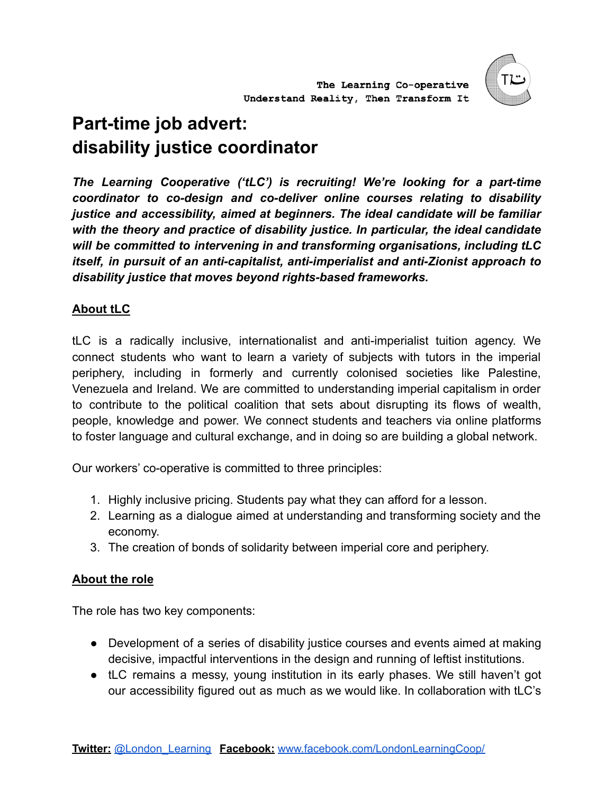

# **Part-time job advert: disability justice coordinator**

*The Learning Cooperative ('tLC') is recruiting! We're looking for a part-time coordinator to co-design and co-deliver online courses relating to disability justice and accessibility, aimed at beginners. The ideal candidate will be familiar with the theory and practice of disability justice. In particular, the ideal candidate will be committed to intervening in and transforming organisations, including tLC itself, in pursuit of an anti-capitalist, anti-imperialist and anti-Zionist approach to disability justice that moves beyond rights-based frameworks.*

# **About tLC**

tLC is a radically inclusive, internationalist and anti-imperialist tuition agency. We connect students who want to learn a variety of subjects with tutors in the imperial periphery, including in formerly and currently colonised societies like Palestine, Venezuela and Ireland. We are committed to understanding imperial capitalism in order to contribute to the political coalition that sets about disrupting its flows of wealth, people, knowledge and power. We connect students and teachers via online platforms to foster language and cultural exchange, and in doing so are building a global network.

Our workers' co-operative is committed to three principles:

- 1. Highly inclusive pricing. Students pay what they can afford for a lesson.
- 2. Learning as a dialogue aimed at understanding and transforming society and the economy.
- 3. The creation of bonds of solidarity between imperial core and periphery.

## **About the role**

The role has two key components:

- Development of a series of disability justice courses and events aimed at making decisive, impactful interventions in the design and running of leftist institutions.
- tLC remains a messy, young institution in its early phases. We still haven't got our accessibility figured out as much as we would like. In collaboration with tLC's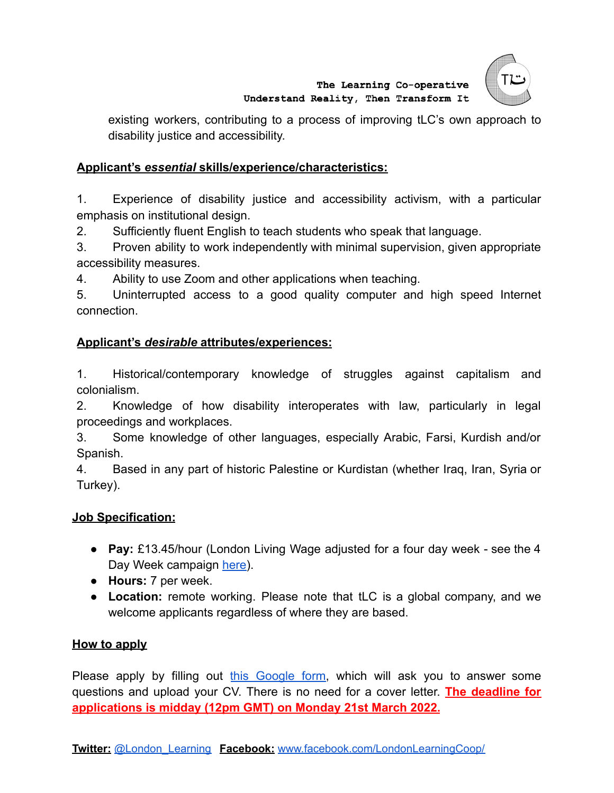

existing workers, contributing to a process of improving tLC's own approach to disability justice and accessibility.

### **Applicant's** *essential* **skills/experience/characteristics:**

1. Experience of disability justice and accessibility activism, with a particular emphasis on institutional design.

2. Sufficiently fluent English to teach students who speak that language.

3. Proven ability to work independently with minimal supervision, given appropriate accessibility measures.

4. Ability to use Zoom and other applications when teaching.

5. Uninterrupted access to a good quality computer and high speed Internet connection.

### **Applicant's** *desirable* **attributes/experiences:**

1. Historical/contemporary knowledge of struggles against capitalism and colonialism.

2. Knowledge of how disability interoperates with law, particularly in legal proceedings and workplaces.

3. Some knowledge of other languages, especially Arabic, Farsi, Kurdish and/or Spanish.

4. Based in any part of historic Palestine or Kurdistan (whether Iraq, Iran, Syria or Turkey).

#### **Job Specification:**

- **Pay:** £13.45/hour (London Living Wage adjusted for a four day week see the 4 Day Week campaign [here\)](https://www.4dayweek.co.uk/why).
- **Hours:** 7 per week.
- **Location:** remote working. Please note that tLC is a global company, and we welcome applicants regardless of where they are based.

#### **How to apply**

Please apply by filling out this [Google](https://forms.gle/XJ7QRBT5wnhTZuux7) form, which will ask you to answer some questions and upload your CV. There is no need for a cover letter. **The deadline for applications is midday (12pm GMT) on Monday 21st March 2022.**